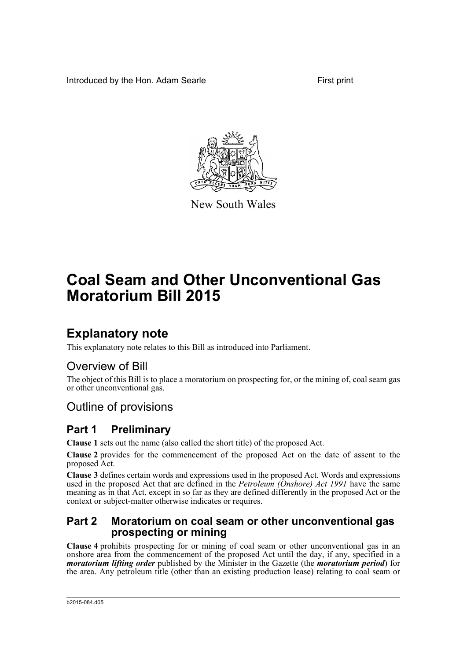Introduced by the Hon. Adam Searle First print



New South Wales

# **Coal Seam and Other Unconventional Gas Moratorium Bill 2015**

## **Explanatory note**

This explanatory note relates to this Bill as introduced into Parliament.

## Overview of Bill

The object of this Bill is to place a moratorium on prospecting for, or the mining of, coal seam gas or other unconventional gas.

## Outline of provisions

## **Part 1 Preliminary**

**Clause 1** sets out the name (also called the short title) of the proposed Act.

**Clause 2** provides for the commencement of the proposed Act on the date of assent to the proposed Act.

**Clause 3** defines certain words and expressions used in the proposed Act. Words and expressions used in the proposed Act that are defined in the *Petroleum (Onshore) Act 1991* have the same meaning as in that Act, except in so far as they are defined differently in the proposed Act or the context or subject-matter otherwise indicates or requires.

### **Part 2 Moratorium on coal seam or other unconventional gas prospecting or mining**

**Clause 4** prohibits prospecting for or mining of coal seam or other unconventional gas in an onshore area from the commencement of the proposed Act until the day, if any, specified in a *moratorium lifting order* published by the Minister in the Gazette (the *moratorium period*) for the area. Any petroleum title (other than an existing production lease) relating to coal seam or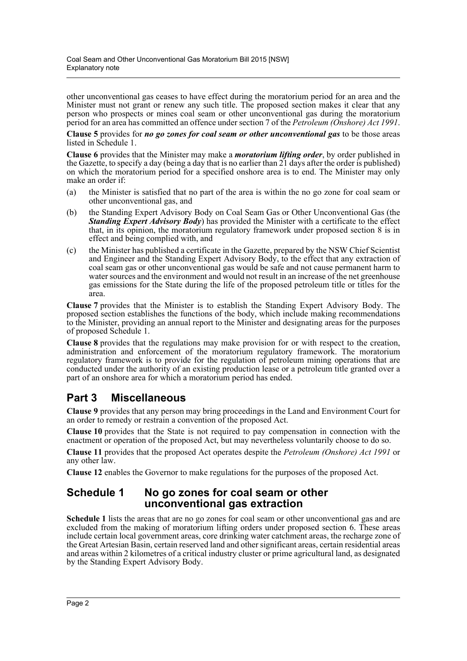other unconventional gas ceases to have effect during the moratorium period for an area and the Minister must not grant or renew any such title. The proposed section makes it clear that any person who prospects or mines coal seam or other unconventional gas during the moratorium period for an area has committed an offence under section 7 of the *Petroleum (Onshore) Act 1991*.

**Clause 5** provides for *no go zones for coal seam or other unconventional gas* to be those areas listed in Schedule 1.

**Clause 6** provides that the Minister may make a *moratorium lifting order*, by order published in the Gazette, to specify a day (being a day that is no earlier than 21 days after the order is published) on which the moratorium period for a specified onshore area is to end. The Minister may only make an order if:

- (a) the Minister is satisfied that no part of the area is within the no go zone for coal seam or other unconventional gas, and
- (b) the Standing Expert Advisory Body on Coal Seam Gas or Other Unconventional Gas (the *Standing Expert Advisory Body*) has provided the Minister with a certificate to the effect that, in its opinion, the moratorium regulatory framework under proposed section 8 is in effect and being complied with, and
- (c) the Minister has published a certificate in the Gazette, prepared by the NSW Chief Scientist and Engineer and the Standing Expert Advisory Body, to the effect that any extraction of coal seam gas or other unconventional gas would be safe and not cause permanent harm to water sources and the environment and would not result in an increase of the net greenhouse gas emissions for the State during the life of the proposed petroleum title or titles for the area.

**Clause 7** provides that the Minister is to establish the Standing Expert Advisory Body. The proposed section establishes the functions of the body, which include making recommendations to the Minister, providing an annual report to the Minister and designating areas for the purposes of proposed Schedule 1.

**Clause 8** provides that the regulations may make provision for or with respect to the creation, administration and enforcement of the moratorium regulatory framework. The moratorium regulatory framework is to provide for the regulation of petroleum mining operations that are conducted under the authority of an existing production lease or a petroleum title granted over a part of an onshore area for which a moratorium period has ended.

## **Part 3 Miscellaneous**

**Clause 9** provides that any person may bring proceedings in the Land and Environment Court for an order to remedy or restrain a convention of the proposed Act.

**Clause 10** provides that the State is not required to pay compensation in connection with the enactment or operation of the proposed Act, but may nevertheless voluntarily choose to do so.

**Clause 11** provides that the proposed Act operates despite the *Petroleum (Onshore) Act 1991* or any other law.

**Clause 12** enables the Governor to make regulations for the purposes of the proposed Act.

### **Schedule 1 No go zones for coal seam or other unconventional gas extraction**

**Schedule 1** lists the areas that are no go zones for coal seam or other unconventional gas and are excluded from the making of moratorium lifting orders under proposed section 6. These areas include certain local government areas, core drinking water catchment areas, the recharge zone of the Great Artesian Basin, certain reserved land and other significant areas, certain residential areas and areas within 2 kilometres of a critical industry cluster or prime agricultural land, as designated by the Standing Expert Advisory Body.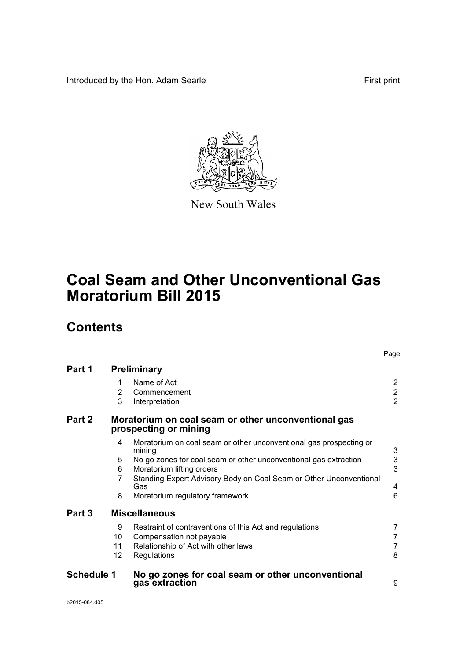Introduced by the Hon. Adam Searle **First print** First print



New South Wales

# **Coal Seam and Other Unconventional Gas Moratorium Bill 2015**

## **Contents**

|                   |                     |                                                                                                                                           | Page                                       |
|-------------------|---------------------|-------------------------------------------------------------------------------------------------------------------------------------------|--------------------------------------------|
| Part 1            |                     | <b>Preliminary</b>                                                                                                                        |                                            |
|                   | 1<br>2<br>3         | Name of Act<br>Commencement<br>Interpretation                                                                                             | 2<br>$\overline{2}$<br>$\overline{2}$      |
| Part 2            |                     | Moratorium on coal seam or other unconventional gas<br>prospecting or mining                                                              |                                            |
|                   | 4                   | Moratorium on coal seam or other unconventional gas prospecting or<br>mining                                                              | 3                                          |
|                   | 5<br>6              | No go zones for coal seam or other unconventional gas extraction<br>Moratorium lifting orders                                             | 3<br>3                                     |
|                   | 7                   | Standing Expert Advisory Body on Coal Seam or Other Unconventional<br>Gas                                                                 | 4                                          |
|                   | 8                   | Moratorium regulatory framework                                                                                                           | 6                                          |
| Part 3            |                     | <b>Miscellaneous</b>                                                                                                                      |                                            |
|                   | 9<br>10<br>11<br>12 | Restraint of contraventions of this Act and regulations<br>Compensation not payable<br>Relationship of Act with other laws<br>Regulations | 7<br>$\overline{7}$<br>$\overline{7}$<br>8 |
| <b>Schedule 1</b> |                     | No go zones for coal seam or other unconventional<br>gas extraction                                                                       | 9                                          |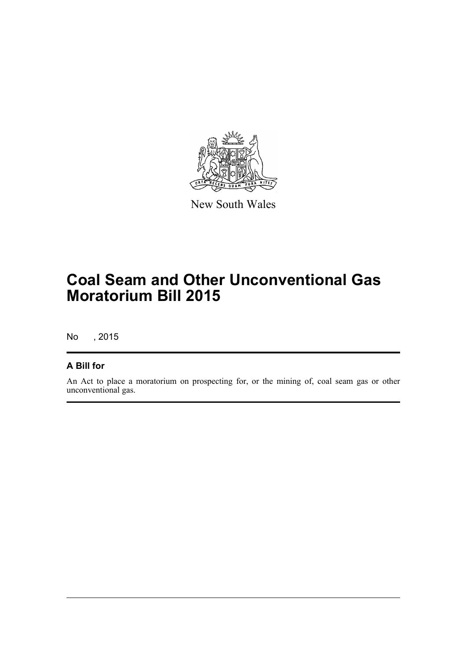

New South Wales

# **Coal Seam and Other Unconventional Gas Moratorium Bill 2015**

No , 2015

### **A Bill for**

An Act to place a moratorium on prospecting for, or the mining of, coal seam gas or other unconventional gas.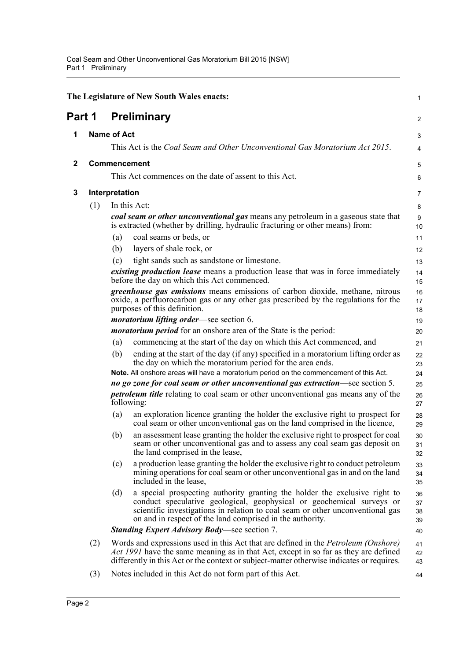<span id="page-4-3"></span><span id="page-4-2"></span><span id="page-4-1"></span><span id="page-4-0"></span>

|              |     |                    | The Legislature of New South Wales enacts:                                                                                                                                                                                                                                                         | $\mathbf{1}$         |
|--------------|-----|--------------------|----------------------------------------------------------------------------------------------------------------------------------------------------------------------------------------------------------------------------------------------------------------------------------------------------|----------------------|
| Part 1       |     |                    | <b>Preliminary</b>                                                                                                                                                                                                                                                                                 | 2                    |
| 1            |     | <b>Name of Act</b> |                                                                                                                                                                                                                                                                                                    | 3                    |
|              |     |                    | This Act is the Coal Seam and Other Unconventional Gas Moratorium Act 2015.                                                                                                                                                                                                                        | 4                    |
| $\mathbf{2}$ |     |                    | <b>Commencement</b>                                                                                                                                                                                                                                                                                | 5                    |
|              |     |                    | This Act commences on the date of assent to this Act.                                                                                                                                                                                                                                              | 6                    |
| 3            |     | Interpretation     |                                                                                                                                                                                                                                                                                                    | 7                    |
|              | (1) |                    | In this Act:                                                                                                                                                                                                                                                                                       | 8                    |
|              |     |                    | coal seam or other unconventional gas means any petroleum in a gaseous state that<br>is extracted (whether by drilling, hydraulic fracturing or other means) from:                                                                                                                                 | 9<br>10              |
|              |     | (a)                | coal seams or beds, or                                                                                                                                                                                                                                                                             | 11                   |
|              |     | (b)                | layers of shale rock, or                                                                                                                                                                                                                                                                           | 12                   |
|              |     | (c)                | tight sands such as sandstone or limestone.                                                                                                                                                                                                                                                        | 13                   |
|              |     |                    | <i>existing production lease</i> means a production lease that was in force immediately<br>before the day on which this Act commenced.                                                                                                                                                             | 14<br>15             |
|              |     |                    | <i>greenhouse gas emissions</i> means emissions of carbon dioxide, methane, nitrous<br>oxide, a perfluorocarbon gas or any other gas prescribed by the regulations for the<br>purposes of this definition.                                                                                         | 16<br>17<br>18       |
|              |     |                    | <i>moratorium lifting order</i> —see section 6.                                                                                                                                                                                                                                                    | 19                   |
|              |     |                    | <i>moratorium period</i> for an onshore area of the State is the period:                                                                                                                                                                                                                           | 20                   |
|              |     | (a)                | commencing at the start of the day on which this Act commenced, and                                                                                                                                                                                                                                | 21                   |
|              |     | (b)                | ending at the start of the day (if any) specified in a moratorium lifting order as<br>the day on which the moratorium period for the area ends.                                                                                                                                                    | 22<br>23             |
|              |     |                    | Note. All onshore areas will have a moratorium period on the commencement of this Act.                                                                                                                                                                                                             | 24                   |
|              |     |                    | no go zone for coal seam or other unconventional gas extraction—see section 5.                                                                                                                                                                                                                     | 25                   |
| following:   |     |                    | <i>petroleum title</i> relating to coal seam or other unconventional gas means any of the                                                                                                                                                                                                          | 26<br>27             |
|              |     | (a)                | an exploration licence granting the holder the exclusive right to prospect for<br>coal seam or other unconventional gas on the land comprised in the licence,                                                                                                                                      | 28<br>29             |
|              |     | (b)                | an assessment lease granting the holder the exclusive right to prospect for coal<br>seam or other unconventional gas and to assess any coal seam gas deposit on<br>the land comprised in the lease,                                                                                                | 30<br>31<br>32       |
|              |     | (c)                | a production lease granting the holder the exclusive right to conduct petroleum<br>mining operations for coal seam or other unconventional gas in and on the land<br>included in the lease,                                                                                                        | 33<br>34<br>35       |
|              |     | (d)                | a special prospecting authority granting the holder the exclusive right to<br>conduct speculative geological, geophysical or geochemical surveys or<br>scientific investigations in relation to coal seam or other unconventional gas<br>on and in respect of the land comprised in the authority. | 36<br>37<br>38<br>39 |
|              |     |                    | <b>Standing Expert Advisory Body—see section 7.</b>                                                                                                                                                                                                                                                | 40                   |
|              | (2) |                    | Words and expressions used in this Act that are defined in the <i>Petroleum (Onshore)</i><br>Act 1991 have the same meaning as in that Act, except in so far as they are defined<br>differently in this Act or the context or subject-matter otherwise indicates or requires.                      | 41<br>42<br>43       |
|              | (3) |                    | Notes included in this Act do not form part of this Act.                                                                                                                                                                                                                                           | 44                   |
|              |     |                    |                                                                                                                                                                                                                                                                                                    |                      |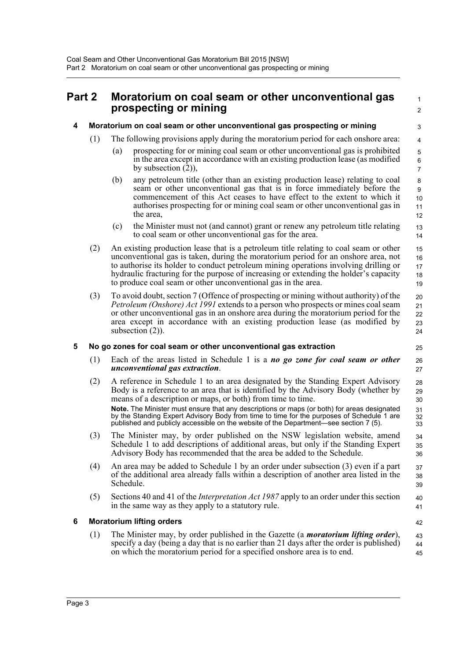### <span id="page-5-0"></span>**Part 2 Moratorium on coal seam or other unconventional gas prospecting or mining**

#### <span id="page-5-1"></span>**4 Moratorium on coal seam or other unconventional gas prospecting or mining**

- (1) The following provisions apply during the moratorium period for each onshore area:
	- (a) prospecting for or mining coal seam or other unconventional gas is prohibited in the area except in accordance with an existing production lease (as modified by subsection  $(2)$ ),

 1  $\overline{2}$ 

25 26 27

31 32 33

- (b) any petroleum title (other than an existing production lease) relating to coal seam or other unconventional gas that is in force immediately before the commencement of this Act ceases to have effect to the extent to which it authorises prospecting for or mining coal seam or other unconventional gas in the area,
- (c) the Minister must not (and cannot) grant or renew any petroleum title relating to coal seam or other unconventional gas for the area.
- (2) An existing production lease that is a petroleum title relating to coal seam or other unconventional gas is taken, during the moratorium period for an onshore area, not to authorise its holder to conduct petroleum mining operations involving drilling or hydraulic fracturing for the purpose of increasing or extending the holder's capacity to produce coal seam or other unconventional gas in the area. 19
- (3) To avoid doubt, section 7 (Offence of prospecting or mining without authority) of the *Petroleum (Onshore) Act 1991* extends to a person who prospects or mines coal seam or other unconventional gas in an onshore area during the moratorium period for the area except in accordance with an existing production lease (as modified by subsection  $(2)$ ).

#### <span id="page-5-2"></span>**5 No go zones for coal seam or other unconventional gas extraction**

- (1) Each of the areas listed in Schedule 1 is a *no go zone for coal seam or other unconventional gas extraction*.
- (2) A reference in Schedule 1 to an area designated by the Standing Expert Advisory Body is a reference to an area that is identified by the Advisory Body (whether by means of a description or maps, or both) from time to time. 28 29 30

**Note.** The Minister must ensure that any descriptions or maps (or both) for areas designated by the Standing Expert Advisory Body from time to time for the purposes of Schedule 1 are published and publicly accessible on the website of the Department—see section 7 (5).

- (3) The Minister may, by order published on the NSW legislation website, amend Schedule 1 to add descriptions of additional areas, but only if the Standing Expert Advisory Body has recommended that the area be added to the Schedule. 34 35 36
- (4) An area may be added to Schedule 1 by an order under subsection (3) even if a part of the additional area already falls within a description of another area listed in the Schedule. 37 38 39
- (5) Sections 40 and 41 of the *Interpretation Act 1987* apply to an order under this section in the same way as they apply to a statutory rule.  $40$ 41

#### <span id="page-5-3"></span>**6 Moratorium lifting orders**

(1) The Minister may, by order published in the Gazette (a *moratorium lifting order*), specify a day (being a day that is no earlier than 21 days after the order is published) on which the moratorium period for a specified onshore area is to end.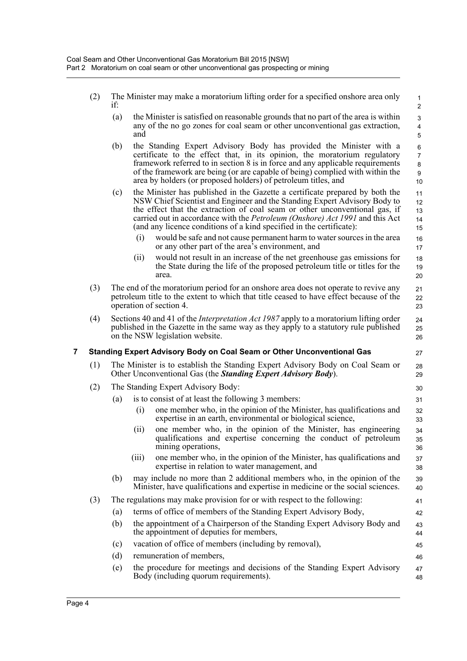<span id="page-6-0"></span>

|   | (2) | if: |       | The Minister may make a moratorium lifting order for a specified onshore area only                                                                                                                                                                                                                                                                                                                      | $\mathbf 1$<br>$\mathbf{2}$                      |
|---|-----|-----|-------|---------------------------------------------------------------------------------------------------------------------------------------------------------------------------------------------------------------------------------------------------------------------------------------------------------------------------------------------------------------------------------------------------------|--------------------------------------------------|
|   |     | (a) | and   | the Minister is satisfied on reasonable grounds that no part of the area is within<br>any of the no go zones for coal seam or other unconventional gas extraction,                                                                                                                                                                                                                                      | $\ensuremath{\mathsf{3}}$<br>$\overline{4}$<br>5 |
|   |     | (b) |       | the Standing Expert Advisory Body has provided the Minister with a<br>certificate to the effect that, in its opinion, the moratorium regulatory<br>framework referred to in section 8 is in force and any applicable requirements<br>of the framework are being (or are capable of being) complied with within the<br>area by holders (or proposed holders) of petroleum titles, and                    | 6<br>$\overline{7}$<br>8<br>9<br>10              |
|   |     | (c) |       | the Minister has published in the Gazette a certificate prepared by both the<br>NSW Chief Scientist and Engineer and the Standing Expert Advisory Body to<br>the effect that the extraction of coal seam or other unconventional gas, if<br>carried out in accordance with the <i>Petroleum (Onshore) Act 1991</i> and this Act<br>(and any licence conditions of a kind specified in the certificate): | 11<br>12<br>13<br>14<br>15                       |
|   |     |     | (i)   | would be safe and not cause permanent harm to water sources in the area<br>or any other part of the area's environment, and                                                                                                                                                                                                                                                                             | 16<br>17                                         |
|   |     |     | (ii)  | would not result in an increase of the net greenhouse gas emissions for<br>the State during the life of the proposed petroleum title or titles for the<br>area.                                                                                                                                                                                                                                         | 18<br>19<br>20                                   |
|   | (3) |     |       | The end of the moratorium period for an onshore area does not operate to revive any<br>petroleum title to the extent to which that title ceased to have effect because of the<br>operation of section 4.                                                                                                                                                                                                | 21<br>22<br>23                                   |
|   | (4) |     |       | Sections 40 and 41 of the <i>Interpretation Act 1987</i> apply to a moratorium lifting order<br>published in the Gazette in the same way as they apply to a statutory rule published<br>on the NSW legislation website.                                                                                                                                                                                 | 24<br>25<br>26                                   |
| 7 |     |     |       | <b>Standing Expert Advisory Body on Coal Seam or Other Unconventional Gas</b>                                                                                                                                                                                                                                                                                                                           | 27                                               |
|   | (1) |     |       | The Minister is to establish the Standing Expert Advisory Body on Coal Seam or<br>Other Unconventional Gas (the <i>Standing Expert Advisory Body</i> ).                                                                                                                                                                                                                                                 | 28<br>29                                         |
|   | (2) |     |       | The Standing Expert Advisory Body:                                                                                                                                                                                                                                                                                                                                                                      | 30                                               |
|   |     | (a) |       | is to consist of at least the following 3 members:                                                                                                                                                                                                                                                                                                                                                      | 31                                               |
|   |     |     | (i)   | one member who, in the opinion of the Minister, has qualifications and<br>expertise in an earth, environmental or biological science,                                                                                                                                                                                                                                                                   | 32<br>33                                         |
|   |     |     | (ii)  | one member who, in the opinion of the Minister, has engineering<br>qualifications and expertise concerning the conduct of petroleum<br>mining operations,                                                                                                                                                                                                                                               | 34<br>35<br>36                                   |
|   |     |     | (iii) | one member who, in the opinion of the Minister, has qualifications and<br>expertise in relation to water management, and                                                                                                                                                                                                                                                                                | 37<br>38                                         |
|   |     | (b) |       | may include no more than 2 additional members who, in the opinion of the<br>Minister, have qualifications and expertise in medicine or the social sciences.                                                                                                                                                                                                                                             | 39<br>40                                         |
|   | (3) |     |       | The regulations may make provision for or with respect to the following:                                                                                                                                                                                                                                                                                                                                | 41                                               |
|   |     | (a) |       | terms of office of members of the Standing Expert Advisory Body,                                                                                                                                                                                                                                                                                                                                        | 42                                               |
|   |     | (b) |       | the appointment of a Chairperson of the Standing Expert Advisory Body and<br>the appointment of deputies for members,                                                                                                                                                                                                                                                                                   | 43<br>44                                         |
|   |     | (c) |       | vacation of office of members (including by removal),                                                                                                                                                                                                                                                                                                                                                   | 45                                               |
|   |     | (d) |       | remuneration of members,                                                                                                                                                                                                                                                                                                                                                                                | 46                                               |
|   |     | (e) |       | the procedure for meetings and decisions of the Standing Expert Advisory<br>Body (including quorum requirements).                                                                                                                                                                                                                                                                                       | 47<br>48                                         |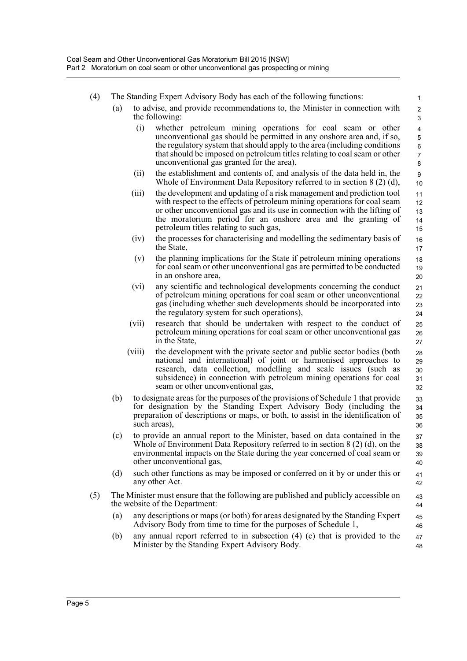| (4) | The Standing Expert Advisory Body has each of the following functions: |  |
|-----|------------------------------------------------------------------------|--|
|-----|------------------------------------------------------------------------|--|

- (a) to advise, and provide recommendations to, the Minister in connection with the following:
	- (i) whether petroleum mining operations for coal seam or other unconventional gas should be permitted in any onshore area and, if so, the regulatory system that should apply to the area (including conditions that should be imposed on petroleum titles relating to coal seam or other unconventional gas granted for the area),

- (ii) the establishment and contents of, and analysis of the data held in, the Whole of Environment Data Repository referred to in section 8 (2) (d),
- (iii) the development and updating of a risk management and prediction tool with respect to the effects of petroleum mining operations for coal seam or other unconventional gas and its use in connection with the lifting of the moratorium period for an onshore area and the granting of petroleum titles relating to such gas,
- (iv) the processes for characterising and modelling the sedimentary basis of the State,
- (v) the planning implications for the State if petroleum mining operations for coal seam or other unconventional gas are permitted to be conducted in an onshore area,
- (vi) any scientific and technological developments concerning the conduct of petroleum mining operations for coal seam or other unconventional gas (including whether such developments should be incorporated into the regulatory system for such operations),
- (vii) research that should be undertaken with respect to the conduct of petroleum mining operations for coal seam or other unconventional gas in the State,
- (viii) the development with the private sector and public sector bodies (both national and international) of joint or harmonised approaches to research, data collection, modelling and scale issues (such as subsidence) in connection with petroleum mining operations for coal seam or other unconventional gas,
- (b) to designate areas for the purposes of the provisions of Schedule 1 that provide for designation by the Standing Expert Advisory Body (including the preparation of descriptions or maps, or both, to assist in the identification of such areas), 33 34 35 36
- (c) to provide an annual report to the Minister, based on data contained in the Whole of Environment Data Repository referred to in section 8 (2) (d), on the environmental impacts on the State during the year concerned of coal seam or other unconventional gas, 37 38 39 40
- (d) such other functions as may be imposed or conferred on it by or under this or any other Act. 41 42
- (5) The Minister must ensure that the following are published and publicly accessible on the website of the Department: 43 44
	- (a) any descriptions or maps (or both) for areas designated by the Standing Expert Advisory Body from time to time for the purposes of Schedule 1, 45 46
	- (b) any annual report referred to in subsection (4) (c) that is provided to the Minister by the Standing Expert Advisory Body. 47 48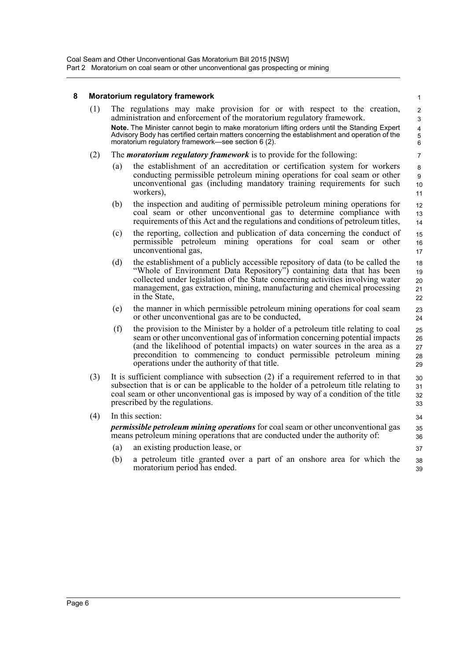### <span id="page-8-0"></span>**8 Moratorium regulatory framework**

|     |                                                                                                                                                                                                                                                                                                           | moratorium regulatory frameworκ                                                                                                                                                                                                                                                                                                                                       | 1                                  |  |  |
|-----|-----------------------------------------------------------------------------------------------------------------------------------------------------------------------------------------------------------------------------------------------------------------------------------------------------------|-----------------------------------------------------------------------------------------------------------------------------------------------------------------------------------------------------------------------------------------------------------------------------------------------------------------------------------------------------------------------|------------------------------------|--|--|
| (1) |                                                                                                                                                                                                                                                                                                           | The regulations may make provision for or with respect to the creation,<br>administration and enforcement of the moratorium regulatory framework.                                                                                                                                                                                                                     | $\boldsymbol{2}$<br>$\mathfrak{S}$ |  |  |
|     |                                                                                                                                                                                                                                                                                                           | Note. The Minister cannot begin to make moratorium lifting orders until the Standing Expert<br>Advisory Body has certified certain matters concerning the establishment and operation of the<br>moratorium regulatory framework—see section 6 (2).                                                                                                                    | $\overline{\mathbf{4}}$<br>5<br>6  |  |  |
| (2) |                                                                                                                                                                                                                                                                                                           | The <i>moratorium regulatory framework</i> is to provide for the following:                                                                                                                                                                                                                                                                                           | 7                                  |  |  |
|     | (a)                                                                                                                                                                                                                                                                                                       | the establishment of an accreditation or certification system for workers<br>conducting permissible petroleum mining operations for coal seam or other<br>unconventional gas (including mandatory training requirements for such<br>workers).                                                                                                                         | 8<br>9<br>10<br>11                 |  |  |
|     | (b)                                                                                                                                                                                                                                                                                                       | the inspection and auditing of permissible petroleum mining operations for<br>coal seam or other unconventional gas to determine compliance with<br>requirements of this Act and the regulations and conditions of petroleum titles,                                                                                                                                  | 12<br>13<br>14                     |  |  |
|     | (c)                                                                                                                                                                                                                                                                                                       | the reporting, collection and publication of data concerning the conduct of<br>permissible petroleum mining operations for coal<br>seam<br>or other<br>unconventional gas,                                                                                                                                                                                            | 15<br>16<br>17                     |  |  |
|     | (d)                                                                                                                                                                                                                                                                                                       | the establishment of a publicly accessible repository of data (to be called the<br>"Whole of Environment Data Repository") containing data that has been<br>collected under legislation of the State concerning activities involving water<br>management, gas extraction, mining, manufacturing and chemical processing<br>in the State,                              | 18<br>19<br>20<br>21<br>22         |  |  |
|     | (e)                                                                                                                                                                                                                                                                                                       | the manner in which permissible petroleum mining operations for coal seam<br>or other unconventional gas are to be conducted,                                                                                                                                                                                                                                         | 23<br>24                           |  |  |
|     | (f)                                                                                                                                                                                                                                                                                                       | the provision to the Minister by a holder of a petroleum title relating to coal<br>seam or other unconventional gas of information concerning potential impacts<br>(and the likelihood of potential impacts) on water sources in the area as a<br>precondition to commencing to conduct permissible petroleum mining<br>operations under the authority of that title. | 25<br>26<br>27<br>28<br>29         |  |  |
| (3) | It is sufficient compliance with subsection $(2)$ if a requirement referred to in that<br>subsection that is or can be applicable to the holder of a petroleum title relating to<br>coal seam or other unconventional gas is imposed by way of a condition of the title<br>prescribed by the regulations. |                                                                                                                                                                                                                                                                                                                                                                       | 30<br>31<br>32<br>33               |  |  |
| (4) | In this section:                                                                                                                                                                                                                                                                                          |                                                                                                                                                                                                                                                                                                                                                                       |                                    |  |  |
|     | <i>permissible petroleum mining operations</i> for coal seam or other unconventional gas<br>means petroleum mining operations that are conducted under the authority of:                                                                                                                                  |                                                                                                                                                                                                                                                                                                                                                                       |                                    |  |  |
|     | (a)                                                                                                                                                                                                                                                                                                       | an existing production lease, or                                                                                                                                                                                                                                                                                                                                      | 37                                 |  |  |
|     | (b)                                                                                                                                                                                                                                                                                                       | a petroleum title granted over a part of an onshore area for which the<br>moratorium period has ended.                                                                                                                                                                                                                                                                | 38<br>39                           |  |  |
|     |                                                                                                                                                                                                                                                                                                           |                                                                                                                                                                                                                                                                                                                                                                       |                                    |  |  |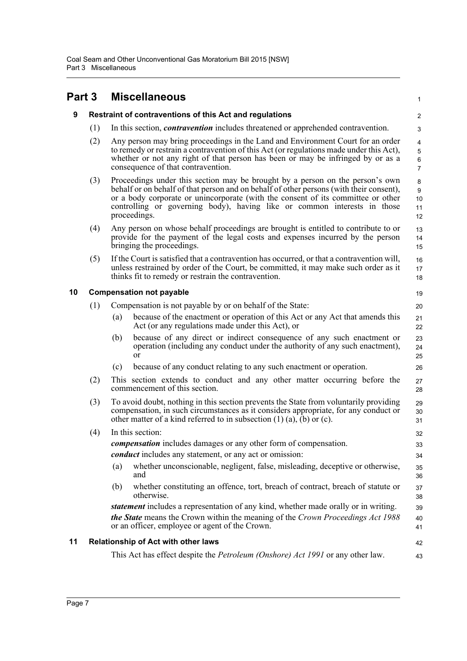<span id="page-9-3"></span><span id="page-9-2"></span><span id="page-9-1"></span><span id="page-9-0"></span>

| Part 3 |     |     | <b>Miscellaneous</b>                                                                                                                                                                                                                                                                                                                                     | 1                                             |
|--------|-----|-----|----------------------------------------------------------------------------------------------------------------------------------------------------------------------------------------------------------------------------------------------------------------------------------------------------------------------------------------------------------|-----------------------------------------------|
| 9      |     |     | Restraint of contraventions of this Act and regulations                                                                                                                                                                                                                                                                                                  | $\overline{c}$                                |
|        | (1) |     | In this section, <i>contravention</i> includes threatened or apprehended contravention.                                                                                                                                                                                                                                                                  | 3                                             |
|        | (2) |     | Any person may bring proceedings in the Land and Environment Court for an order<br>to remedy or restrain a contravention of this Act (or regulations made under this Act),<br>whether or not any right of that person has been or may be infringed by or as a<br>consequence of that contravention.                                                      | 4<br>$\mathbf 5$<br>$\,6\,$<br>$\overline{7}$ |
|        | (3) |     | Proceedings under this section may be brought by a person on the person's own<br>behalf or on behalf of that person and on behalf of other persons (with their consent),<br>or a body corporate or unincorporate (with the consent of its committee or other<br>controlling or governing body), having like or common interests in those<br>proceedings. | 8<br>$\boldsymbol{9}$<br>10<br>11<br>12       |
|        | (4) |     | Any person on whose behalf proceedings are brought is entitled to contribute to or<br>provide for the payment of the legal costs and expenses incurred by the person<br>bringing the proceedings.                                                                                                                                                        | 13<br>14<br>15                                |
|        | (5) |     | If the Court is satisfied that a contravention has occurred, or that a contravention will,<br>unless restrained by order of the Court, be committed, it may make such order as it<br>thinks fit to remedy or restrain the contravention.                                                                                                                 | 16<br>17<br>18                                |
| 10     |     |     | <b>Compensation not payable</b>                                                                                                                                                                                                                                                                                                                          | 19                                            |
|        | (1) |     | Compensation is not payable by or on behalf of the State:                                                                                                                                                                                                                                                                                                | 20                                            |
|        |     | (a) | because of the enactment or operation of this Act or any Act that amends this<br>Act (or any regulations made under this Act), or                                                                                                                                                                                                                        | 21<br>22                                      |
|        |     | (b) | because of any direct or indirect consequence of any such enactment or<br>operation (including any conduct under the authority of any such enactment),<br>or                                                                                                                                                                                             | 23<br>24<br>25                                |
|        |     | (c) | because of any conduct relating to any such enactment or operation.                                                                                                                                                                                                                                                                                      | 26                                            |
|        | (2) |     | This section extends to conduct and any other matter occurring before the<br>commencement of this section.                                                                                                                                                                                                                                               | 27<br>28                                      |
|        | (3) |     | To avoid doubt, nothing in this section prevents the State from voluntarily providing<br>compensation, in such circumstances as it considers appropriate, for any conduct or<br>other matter of a kind referred to in subsection $(1)$ $(a)$ , $(b)$ or $(c)$ .                                                                                          | 29<br>30<br>31                                |
|        | (4) |     | In this section:                                                                                                                                                                                                                                                                                                                                         | 32                                            |
|        |     |     | <i>compensation</i> includes damages or any other form of compensation.                                                                                                                                                                                                                                                                                  | 33                                            |
|        |     |     | <i>conduct</i> includes any statement, or any act or omission:                                                                                                                                                                                                                                                                                           | 34                                            |
|        |     | (a) | whether unconscionable, negligent, false, misleading, deceptive or otherwise,<br>and                                                                                                                                                                                                                                                                     | 35<br>36                                      |
|        |     | (b) | whether constituting an offence, tort, breach of contract, breach of statute or<br>otherwise.                                                                                                                                                                                                                                                            | 37<br>38                                      |
|        |     |     | statement includes a representation of any kind, whether made orally or in writing.                                                                                                                                                                                                                                                                      | 39                                            |
|        |     |     | the State means the Crown within the meaning of the Crown Proceedings Act 1988<br>or an officer, employee or agent of the Crown.                                                                                                                                                                                                                         | 40<br>41                                      |
| 11     |     |     | <b>Relationship of Act with other laws</b>                                                                                                                                                                                                                                                                                                               | 42                                            |
|        |     |     | This Act has effect despite the <i>Petroleum (Onshore) Act 1991</i> or any other law.                                                                                                                                                                                                                                                                    | 43                                            |
|        |     |     |                                                                                                                                                                                                                                                                                                                                                          |                                               |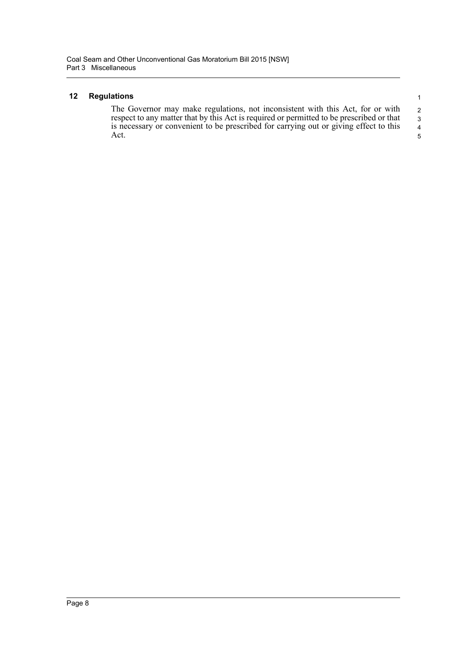#### <span id="page-10-0"></span>**12 Regulations**

The Governor may make regulations, not inconsistent with this Act, for or with respect to any matter that by this Act is required or permitted to be prescribed or that is necessary or convenient to be prescribed for carrying out or giving effect to this Act. 2 3 4 5

1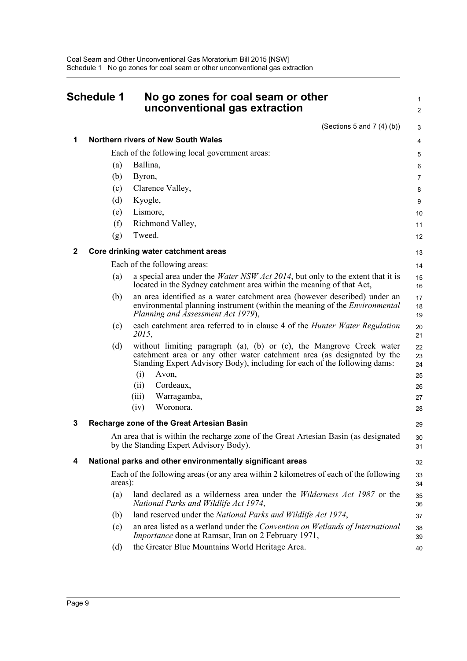<span id="page-11-0"></span>

| <b>Schedule 1</b> |         | No go zones for coal seam or other<br>unconventional gas extraction                                                                                                                                                                                                                                          |                                        |
|-------------------|---------|--------------------------------------------------------------------------------------------------------------------------------------------------------------------------------------------------------------------------------------------------------------------------------------------------------------|----------------------------------------|
|                   |         | (Sections 5 and 7 $(4)(b)$ )                                                                                                                                                                                                                                                                                 | 3                                      |
| 1                 |         | Northern rivers of New South Wales                                                                                                                                                                                                                                                                           | 4                                      |
|                   |         | Each of the following local government areas:                                                                                                                                                                                                                                                                | 5                                      |
|                   | (a)     | Ballina,                                                                                                                                                                                                                                                                                                     | 6                                      |
|                   | (b)     | Byron,                                                                                                                                                                                                                                                                                                       | 7                                      |
|                   | (c)     | Clarence Valley,                                                                                                                                                                                                                                                                                             | 8                                      |
|                   | (d)     | Kyogle,                                                                                                                                                                                                                                                                                                      | 9                                      |
|                   | (e)     | Lismore,                                                                                                                                                                                                                                                                                                     | 10                                     |
|                   | (f)     | Richmond Valley,                                                                                                                                                                                                                                                                                             | 11                                     |
|                   | (g)     | Tweed.                                                                                                                                                                                                                                                                                                       | 12                                     |
| 2                 |         | Core drinking water catchment areas                                                                                                                                                                                                                                                                          | 13                                     |
|                   |         | Each of the following areas:                                                                                                                                                                                                                                                                                 | 14                                     |
|                   | (a)     | a special area under the <i>Water NSW Act 2014</i> , but only to the extent that it is<br>located in the Sydney catchment area within the meaning of that Act,                                                                                                                                               | 15<br>16                               |
|                   | (b)     | an area identified as a water catchment area (however described) under an<br>environmental planning instrument (within the meaning of the <i>Environmental</i><br>Planning and Assessment Act 1979),                                                                                                         | 17<br>18<br>19                         |
|                   | (c)     | each catchment area referred to in clause 4 of the <i>Hunter Water Regulation</i><br>2015,                                                                                                                                                                                                                   | 20<br>21                               |
|                   | (d)     | without limiting paragraph (a), (b) or (c), the Mangrove Creek water<br>catchment area or any other water catchment area (as designated by the<br>Standing Expert Advisory Body), including for each of the following dams:<br>(i)<br>Avon,<br>Cordeaux,<br>(i)<br>Warragamba,<br>(iii)<br>(iv)<br>Woronora. | 22<br>23<br>24<br>25<br>26<br>27<br>28 |
| 3                 |         | <b>Recharge zone of the Great Artesian Basin</b>                                                                                                                                                                                                                                                             | 29                                     |
|                   |         | An area that is within the recharge zone of the Great Artesian Basin (as designated<br>by the Standing Expert Advisory Body).                                                                                                                                                                                | 30<br>31                               |
| 4                 |         | National parks and other environmentally significant areas                                                                                                                                                                                                                                                   | 32                                     |
|                   | areas): | Each of the following areas (or any area within 2 kilometres of each of the following                                                                                                                                                                                                                        | 33<br>34                               |
|                   | (a)     | land declared as a wilderness area under the <i>Wilderness Act 1987</i> or the<br>National Parks and Wildlife Act 1974,                                                                                                                                                                                      | 35<br>36                               |
|                   | (b)     | land reserved under the National Parks and Wildlife Act 1974,                                                                                                                                                                                                                                                | 37                                     |
|                   | (c)     | an area listed as a wetland under the Convention on Wetlands of International<br><i>Importance</i> done at Ramsar, Iran on 2 February 1971,                                                                                                                                                                  | 38<br>39                               |
|                   | (d)     | the Greater Blue Mountains World Heritage Area.                                                                                                                                                                                                                                                              | 40                                     |